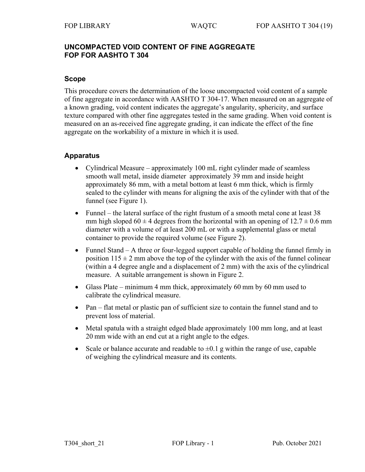# **UNCOMPACTED VOID CONTENT OF FINE AGGREGATE FOP FOR AASHTO T 304**

### **Scope**

This procedure covers the determination of the loose uncompacted void content of a sample of fine aggregate in accordance with AASHTO T 304-17. When measured on an aggregate of a known grading, void content indicates the aggregate's angularity, sphericity, and surface texture compared with other fine aggregates tested in the same grading. When void content is measured on an as-received fine aggregate grading, it can indicate the effect of the fine aggregate on the workability of a mixture in which it is used.

# **Apparatus**

- Cylindrical Measure approximately 100 mL right cylinder made of seamless smooth wall metal, inside diameter approximately 39 mm and inside height approximately 86 mm, with a metal bottom at least 6 mm thick, which is firmly sealed to the cylinder with means for aligning the axis of the cylinder with that of the funnel (see Figure 1).
- Funnel the lateral surface of the right frustum of a smooth metal cone at least 38 mm high sloped  $60 \pm 4$  degrees from the horizontal with an opening of  $12.7 \pm 0.6$  mm diameter with a volume of at least 200 mL or with a supplemental glass or metal container to provide the required volume (see Figure 2).
- Funnel Stand A three or four-legged support capable of holding the funnel firmly in position  $115 \pm 2$  mm above the top of the cylinder with the axis of the funnel colinear (within a 4 degree angle and a displacement of 2 mm) with the axis of the cylindrical measure. A suitable arrangement is shown in Figure 2.
- Glass Plate minimum 4 mm thick, approximately 60 mm by 60 mm used to calibrate the cylindrical measure.
- Pan flat metal or plastic pan of sufficient size to contain the funnel stand and to prevent loss of material.
- Metal spatula with a straight edged blade approximately 100 mm long, and at least 20 mm wide with an end cut at a right angle to the edges.
- Scale or balance accurate and readable to  $\pm 0.1$  g within the range of use, capable of weighing the cylindrical measure and its contents.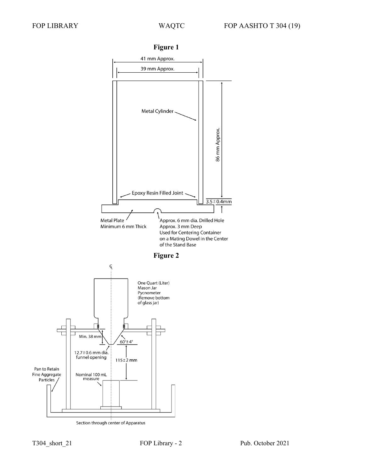

**Figure 1**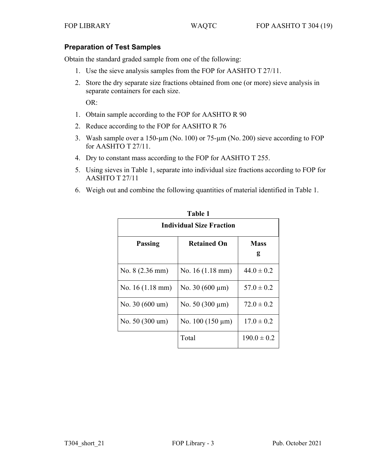### **Preparation of Test Samples**

Obtain the standard graded sample from one of the following:

- 1. Use the sieve analysis samples from the FOP for AASHTO T 27/11.
- 2. Store the dry separate size fractions obtained from one (or more) sieve analysis in separate containers for each size.

OR:

- 1. Obtain sample according to the FOP for AASHTO R 90
- 2. Reduce according to the FOP for AASHTO R 76
- 3. Wash sample over a 150-µm (No. 100) or 75-µm (No. 200) sieve according to FOP for AASHTO T 27/11.
- 4. Dry to constant mass according to the FOP for AASHTO T 255.
- 5. Using sieves in Table 1, separate into individual size fractions according to FOP for AASHTO T 27/11
- 6. Weigh out and combine the following quantities of material identified in Table 1.

| <b>Individual Size Fraction</b> |                           |                  |
|---------------------------------|---------------------------|------------------|
| <b>Passing</b>                  | <b>Retained On</b>        | <b>Mass</b><br>g |
| No. $8(2.36 \text{ mm})$        | No. $16(1.18 \text{ mm})$ | $44.0 \pm 0.2$   |
| No. $16(1.18 \text{ mm})$       | No. $30(600 \,\mu m)$     | $57.0 \pm 0.2$   |
| No. 30 (600 um)                 | No. $50(300 \,\mu m)$     | $72.0 \pm 0.2$   |
| No. $50(300 \text{ um})$        | No. $100(150 \mu m)$      | $17.0 \pm 0.2$   |
|                                 | Total                     | $190.0 \pm 0.2$  |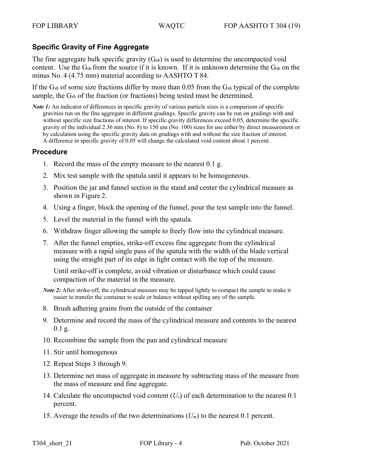# **Specific Gravity of Fine Aggregate**

The fine aggregate bulk specific gravity  $(G<sub>sb</sub>)$  is used to determine the uncompacted void content. Use the  $G_{sb}$  from the source if it is known. If it is unknown determine the  $G_{sb}$  on the minus No. 4 (4.75 mm) material according to AASHTO T 84.

If the  $G<sub>sb</sub>$  of some size fractions differ by more than 0.05 from the  $G<sub>sb</sub>$  typical of the complete sample, the G<sub>sb</sub> of the fraction (or fractions) being tested must be determined.

*Note 1:* An indicator of differences in specific gravity of various particle sizes is a comparison of specific gravities run on the fine aggregate in different gradings. Specific gravity can be run on gradings with and without specific size fractions of interest. If specific gravity differences exceed 0.05, determine the specific gravity of the individual 2.36 mm (No. 8) to 150 um (No. 100) sizes for use either by direct measurement or by calculation using the specific gravity data on gradings with and without the size fraction of interest. A difference in specific gravity of 0.05 will change the calculated void content about 1 percent.

#### **Procedure**

- 1. Record the mass of the empty measure to the nearest 0.1 g.
- 2. Mix test sample with the spatula until it appears to be homogeneous.
- 3. Position the jar and funnel section in the stand and center the cylindrical measure as shown in Figure 2.
- 4. Using a finger, block the opening of the funnel, pour the test sample into the funnel.
- 5. Level the material in the funnel with the spatula.
- 6. Withdraw finger allowing the sample to freely flow into the cylindrical measure.
- 7. After the funnel empties, strike-off excess fine aggregate from the cylindrical measure with a rapid single pass of the spatula with the width of the blade vertical using the straight part of its edge in light contact with the top of the measure.

Until strike-off is complete, avoid vibration or disturbance which could cause compaction of the material in the measure.

*Note 2*: After strike-off, the cylindrical measure may be tapped lightly to compact the sample to make it easier to transfer the container to scale or balance without spilling any of the sample.

- 8. Brush adhering grains from the outside of the container
- 9. Determine and record the mass of the cylindrical measure and contents to the nearest  $0.1$  g.
- 10. Recombine the sample from the pan and cylindrical measure
- 11. Stir until homogenous
- 12. Repeat Steps 3 through 9.
- 13. Determine net mass of aggregate in measure by subtracting mass of the measure from the mass of measure and fine aggregate.
- 14. Calculate the uncompacted void content (*Us*) of each determination to the nearest 0.1 percent.
- 15. Average the results of the two determinations (*Um*) to the nearest 0.1 percent.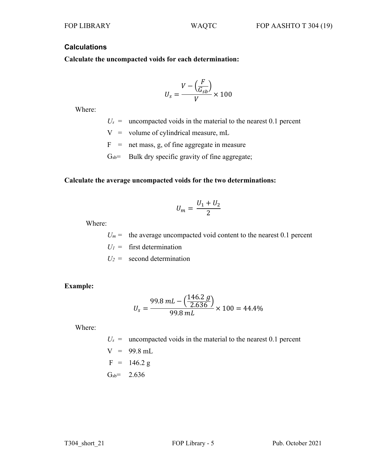# **Calculations**

**Calculate the uncompacted voids for each determination:**

$$
U_s = \frac{V - \left(\frac{F}{G_{sb}}\right)}{V} \times 100
$$

Where:

 $U_s$  = uncompacted voids in the material to the nearest 0.1 percent

 $V =$  volume of cylindrical measure, mL

 $F =$  net mass, g, of fine aggregate in measure

 $G<sub>sb</sub>=$  Bulk dry specific gravity of fine aggregate;

#### **Calculate the average uncompacted voids for the two determinations:**

$$
U_m=\frac{U_1+U_2}{2}
$$

Where:

 $U_m$  = the average uncompacted void content to the nearest 0.1 percent

 $U_1$  = first determination

 $U_2$  = second determination

#### **Example:**

$$
U_s = \frac{99.8 \text{ mL} - \left(\frac{146.2 \text{ g}}{2.636}\right)}{99.8 \text{ mL}} \times 100 = 44.4\%
$$

Where:

 $U_s$  = uncompacted voids in the material to the nearest 0.1 percent  $V = 99.8$  mL  $F = 146.2 g$  $G_{sb} = 2.636$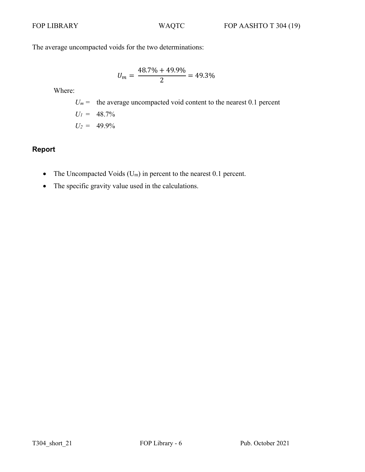The average uncompacted voids for the two determinations:

$$
U_m = \frac{48.7\% + 49.9\%}{2} = 49.3\%
$$

Where:

$$
U_m
$$
 = the average uncompacted void content to the nearest 0.1 percent  
\n $U_l$  = 48.7%  
\n $U_2$  = 49.9%

# **Report**

- The Uncompacted Voids  $(U_m)$  in percent to the nearest 0.1 percent.
- The specific gravity value used in the calculations.